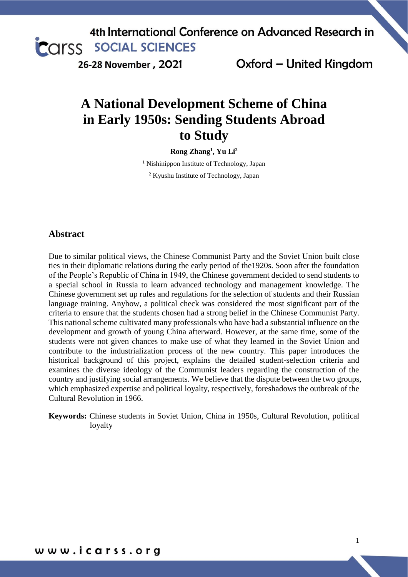26-28 November, 2021

Oxford - United Kingdom

# **A National Development Scheme of China in Early 1950s: Sending Students Abroad to Study**

**Rong Zhang<sup>1</sup> , Yu Li<sup>2</sup>**

<sup>1</sup> Nishinippon Institute of Technology, Japan

<sup>2</sup> Kyushu Institute of Technology, Japan

#### **Abstract**

Due to similar political views, the Chinese Communist Party and the Soviet Union built close ties in their diplomatic relations during the early period of the1920s. Soon after the foundation of the People's Republic of China in 1949, the Chinese government decided to send students to a special school in Russia to learn advanced technology and management knowledge. The Chinese government set up rules and regulations for the selection of students and their Russian language training. Anyhow, a political check was considered the most significant part of the criteria to ensure that the students chosen had a strong belief in the Chinese Communist Party. This national scheme cultivated many professionals who have had a substantial influence on the development and growth of young China afterward. However, at the same time, some of the students were not given chances to make use of what they learned in the Soviet Union and contribute to the industrialization process of the new country. This paper introduces the historical background of this project, explains the detailed student-selection criteria and examines the diverse ideology of the Communist leaders regarding the construction of the country and justifying social arrangements. We believe that the dispute between the two groups, which emphasized expertise and political loyalty, respectively, foreshadows the outbreak of the Cultural Revolution in 1966.

**Keywords:** Chinese students in Soviet Union, China in 1950s, Cultural Revolution, political loyalty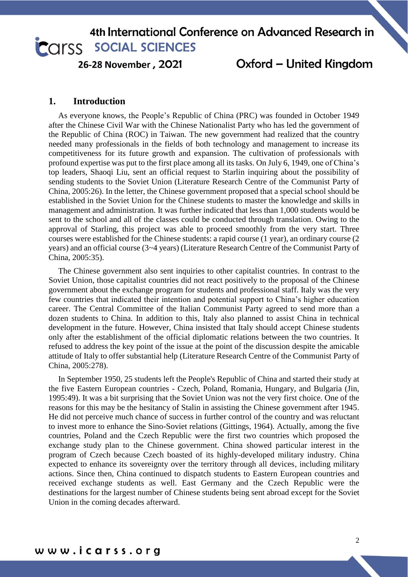26-28 November, 2021

### Oxford - United Kingdom

#### **1. Introduction**

As everyone knows, the People's Republic of China (PRC) was founded in October 1949 after the Chinese Civil War with the Chinese Nationalist Party who has led the government of the Republic of China (ROC) in Taiwan. The new government had realized that the country needed many professionals in the fields of both technology and management to increase its competitiveness for its future growth and expansion. The cultivation of professionals with profound expertise was put to the first place among all its tasks. On July 6, 1949, one of China's top leaders, Shaoqi Liu, sent an official request to Starlin inquiring about the possibility of sending students to the Soviet Union (Literature Research Centre of the Communist Party of China, 2005:26). In the letter, the Chinese government proposed that a special school should be established in the Soviet Union for the Chinese students to master the knowledge and skills in management and administration. It was further indicated that less than 1,000 students would be sent to the school and all of the classes could be conducted through translation. Owing to the approval of Starling, this project was able to proceed smoothly from the very start. Three courses were established for the Chinese students: a rapid course (1 year), an ordinary course (2 years) and an official course (3~4 years) (Literature Research Centre of the Communist Party of China, 2005:35).

The Chinese government also sent inquiries to other capitalist countries. In contrast to the Soviet Union, those capitalist countries did not react positively to the proposal of the Chinese government about the exchange program for students and professional staff. Italy was the very few countries that indicated their intention and potential support to China's higher education career. The Central Committee of the Italian Communist Party agreed to send more than a dozen students to China. In addition to this, Italy also planned to assist China in technical development in the future. However, China insisted that Italy should accept Chinese students only after the establishment of the official diplomatic relations between the two countries. It refused to address the key point of the issue at the point of the discussion despite the amicable attitude of Italy to offer substantial help (Literature Research Centre of the Communist Party of China, 2005:278).

In September 1950, 25 students left the People's Republic of China and started their study at the five Eastern European countries - Czech, Poland, Romania, Hungary, and Bulgaria (Jin, 1995:49). It was a bit surprising that the Soviet Union was not the very first choice. One of the reasons for this may be the hesitancy of Stalin in assisting the Chinese government after 1945. He did not perceive much chance of success in further control of the country and was reluctant to invest more to enhance the Sino-Soviet relations (Gittings, 1964). Actually, among the five countries, Poland and the Czech Republic were the first two countries which proposed the exchange study plan to the Chinese government. China showed particular interest in the program of Czech because Czech boasted of its highly-developed military industry. China expected to enhance its sovereignty over the territory through all devices, including military actions. Since then, China continued to dispatch students to Eastern European countries and received exchange students as well. East Germany and the Czech Republic were the destinations for the largest number of Chinese students being sent abroad except for the Soviet Union in the coming decades afterward.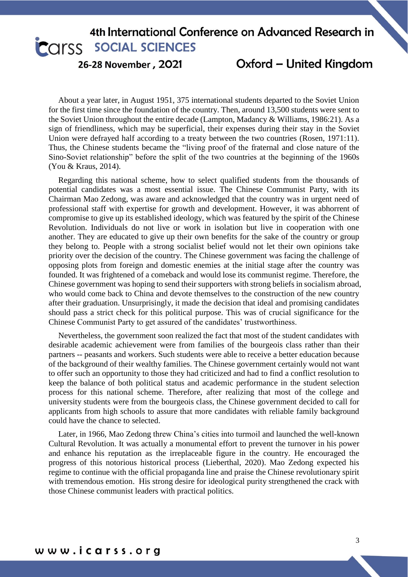26-28 November, 2021

Oxford - United Kingdom

About a year later, in August 1951, 375 international students departed to the Soviet Union for the first time since the foundation of the country. Then, around 13,500 students were sent to the Soviet Union throughout the entire decade (Lampton, Madancy & Williams, 1986:21). As a sign of friendliness, which may be superficial, their expenses during their stay in the Soviet Union were defrayed half according to a treaty between the two countries (Rosen, 1971:11). Thus, the Chinese students became the "living proof of the fraternal and close nature of the Sino-Soviet relationship" before the split of the two countries at the beginning of the 1960s (You & Kraus, 2014).

Regarding this national scheme, how to select qualified students from the thousands of potential candidates was a most essential issue. The Chinese Communist Party, with its Chairman Mao Zedong, was aware and acknowledged that the country was in urgent need of professional staff with expertise for growth and development. However, it was abhorrent of compromise to give up its established ideology, which was featured by the spirit of the Chinese Revolution. Individuals do not live or work in isolation but live in cooperation with one another. They are educated to give up their own benefits for the sake of the country or group they belong to. People with a strong socialist belief would not let their own opinions take priority over the decision of the country. The Chinese government was facing the challenge of opposing plots from foreign and domestic enemies at the initial stage after the country was founded. It was frightened of a comeback and would lose its communist regime. Therefore, the Chinese government was hoping to send their supporters with strong beliefs in socialism abroad, who would come back to China and devote themselves to the construction of the new country after their graduation. Unsurprisingly, it made the decision that ideal and promising candidates should pass a strict check for this political purpose. This was of crucial significance for the Chinese Communist Party to get assured of the candidates' trustworthiness.

Nevertheless, the government soon realized the fact that most of the student candidates with desirable academic achievement were from families of the bourgeois class rather than their partners -- peasants and workers. Such students were able to receive a better education because of the background of their wealthy families. The Chinese government certainly would not want to offer such an opportunity to those they had criticized and had to find a conflict resolution to keep the balance of both political status and academic performance in the student selection process for this national scheme. Therefore, after realizing that most of the college and university students were from the bourgeois class, the Chinese government decided to call for applicants from high schools to assure that more candidates with reliable family background could have the chance to selected.

Later, in 1966, Mao Zedong threw China's cities into turmoil and launched the well-known Cultural Revolution. It was actually a monumental effort to prevent the turnover in his power and enhance his reputation as the irreplaceable figure in the country. He encouraged the progress of this notorious historical process (Lieberthal, 2020). Mao Zedong expected his regime to continue with the official propaganda line and praise the Chinese revolutionary spirit with tremendous emotion. His strong desire for ideological purity strengthened the crack with those Chinese communist leaders with practical politics.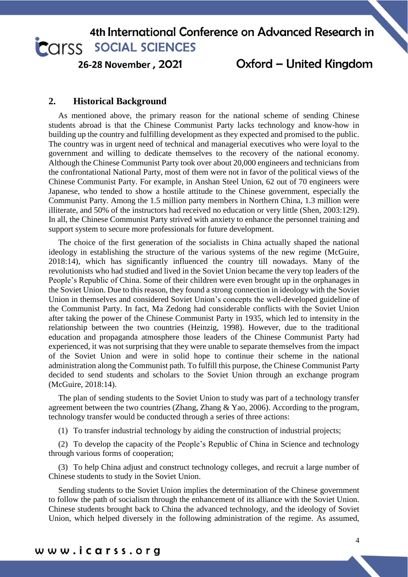26-28 November, 2021

### Oxford - United Kingdom

### **2. Historical Background**

As mentioned above, the primary reason for the national scheme of sending Chinese students abroad is that the Chinese Communist Party lacks technology and know-how in building up the country and fulfilling development as they expected and promised to the public. The country was in urgent need of technical and managerial executives who were loyal to the government and willing to dedicate themselves to the recovery of the national economy. Although the Chinese Communist Party took over about 20,000 engineers and technicians from the confrontational National Party, most of them were not in favor of the political views of the Chinese Communist Party. For example, in Anshan Steel Union, 62 out of 70 engineers were Japanese, who tended to show a hostile attitude to the Chinese government, especially the Communist Party. Among the 1.5 million party members in Northern China, 1.3 million were illiterate, and 50% of the instructors had received no education or very little (Shen, 2003:129). In all, the Chinese Communist Party strived with anxiety to enhance the personnel training and support system to secure more professionals for future development.

The choice of the first generation of the socialists in China actually shaped the national ideology in establishing the structure of the various systems of the new regime (McGuire, 2018:14), which has significantly influenced the country till nowadays. Many of the revolutionists who had studied and lived in the Soviet Union became the very top leaders of the People's Republic of China. Some of their children were even brought up in the orphanages in the Soviet Union. Due to this reason, they found a strong connection in ideology with the Soviet Union in themselves and considered Soviet Union's concepts the well-developed guideline of the Communist Party. In fact, Ma Zedong had considerable conflicts with the Soviet Union after taking the power of the Chinese Communist Party in 1935, which led to intensity in the relationship between the two countries (Heinzig, 1998). However, due to the traditional education and propaganda atmosphere those leaders of the Chinese Communist Party had experienced, it was not surprising that they were unable to separate themselves from the impact of the Soviet Union and were in solid hope to continue their scheme in the national administration along the Communist path. To fulfill this purpose, the Chinese Communist Party decided to send students and scholars to the Soviet Union through an exchange program (McGuire, 2018:14).

The plan of sending students to the Soviet Union to study was part of a technology transfer agreement between the two countries (Zhang, Zhang & Yao, 2006). According to the program, technology transfer would be conducted through a series of three actions:

(1) To transfer industrial technology by aiding the construction of industrial projects;

(2) To develop the capacity of the People's Republic of China in Science and technology through various forms of cooperation;

(3) To help China adjust and construct technology colleges, and recruit a large number of Chinese students to study in the Soviet Union.

Sending students to the Soviet Union implies the determination of the Chinese government to follow the path of socialism through the enhancement of its alliance with the Soviet Union. Chinese students brought back to China the advanced technology, and the ideology of Soviet Union, which helped diversely in the following administration of the regime. As assumed,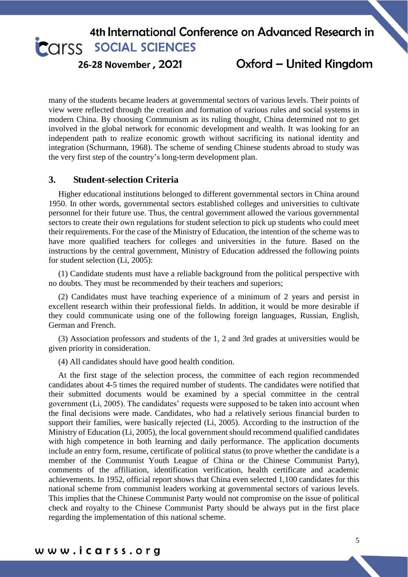26-28 November, 2021

Oxford - United Kingdom

many of the students became leaders at governmental sectors of various levels. Their points of view were reflected through the creation and formation of various rules and social systems in modern China. By choosing Communism as its ruling thought, China determined not to get involved in the global network for economic development and wealth. It was looking for an independent path to realize economic growth without sacrificing its national identity and integration (Schurmann, 1968). The scheme of sending Chinese students abroad to study was the very first step of the country's long-term development plan.

#### **3. Student-selection Criteria**

Higher educational institutions belonged to different governmental sectors in China around 1950. In other words, governmental sectors established colleges and universities to cultivate personnel for their future use. Thus, the central government allowed the various governmental sectors to create their own regulations for student selection to pick up students who could meet their requirements. For the case of the Ministry of Education, the intention of the scheme was to have more qualified teachers for colleges and universities in the future. Based on the instructions by the central government, Ministry of Education addressed the following points for student selection (Li, 2005):

(1) Candidate students must have a reliable background from the political perspective with no doubts. They must be recommended by their teachers and superiors;

(2) Candidates must have teaching experience of a minimum of 2 years and persist in excellent research within their professional fields. In addition, it would be more desirable if they could communicate using one of the following foreign languages, Russian, English, German and French.

(3) Association professors and students of the 1, 2 and 3rd grades at universities would be given priority in consideration.

(4) All candidates should have good health condition.

At the first stage of the selection process, the committee of each region recommended candidates about 4-5 times the required number of students. The candidates were notified that their submitted documents would be examined by a special committee in the central government (Li, 2005). The candidates' requests were supposed to be taken into account when the final decisions were made. Candidates, who had a relatively serious financial burden to support their families, were basically rejected (Li, 2005). According to the instruction of the Ministry of Education (Li, 2005), the local government should recommend qualified candidates with high competence in both learning and daily performance. The application documents include an entry form, resume, certificate of political status (to prove whether the candidate is a member of the Communist Youth League of China or the Chinese Communist Party), comments of the affiliation, identification verification, health certificate and academic achievements. In 1952, official report shows that China even selected 1,100 candidates for this national scheme from communist leaders working at governmental sectors of various levels. This implies that the Chinese Communist Party would not compromise on the issue of political check and royalty to the Chinese Communist Party should be always put in the first place regarding the implementation of this national scheme.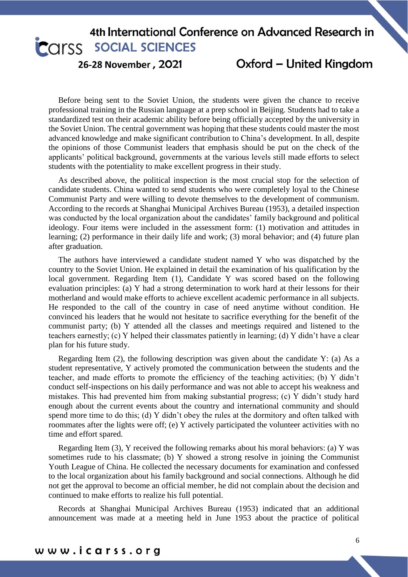26-28 November, 2021

Oxford - United Kingdom

Before being sent to the Soviet Union, the students were given the chance to receive professional training in the Russian language at a prep school in Beijing. Students had to take a standardized test on their academic ability before being officially accepted by the university in the Soviet Union. The central government was hoping that these students could master the most advanced knowledge and make significant contribution to China's development. In all, despite the opinions of those Communist leaders that emphasis should be put on the check of the applicants' political background, governments at the various levels still made efforts to select students with the potentiality to make excellent progress in their study.

As described above, the political inspection is the most crucial stop for the selection of candidate students. China wanted to send students who were completely loyal to the Chinese Communist Party and were willing to devote themselves to the development of communism. According to the records at Shanghai Municipal Archives Bureau (1953), a detailed inspection was conducted by the local organization about the candidates' family background and political ideology. Four items were included in the assessment form: (1) motivation and attitudes in learning; (2) performance in their daily life and work; (3) moral behavior; and (4) future plan after graduation.

The authors have interviewed a candidate student named Y who was dispatched by the country to the Soviet Union. He explained in detail the examination of his qualification by the local government. Regarding Item (1), Candidate Y was scored based on the following evaluation principles: (a) Y had a strong determination to work hard at their lessons for their motherland and would make efforts to achieve excellent academic performance in all subjects. He responded to the call of the country in case of need anytime without condition. He convinced his leaders that he would not hesitate to sacrifice everything for the benefit of the communist party; (b) Y attended all the classes and meetings required and listened to the teachers earnestly; (c) Y helped their classmates patiently in learning; (d) Y didn't have a clear plan for his future study.

Regarding Item  $(2)$ , the following description was given about the candidate Y:  $(a)$  As a student representative, Y actively promoted the communication between the students and the teacher, and made efforts to promote the efficiency of the teaching activities; (b) Y didn't conduct self-inspections on his daily performance and was not able to accept his weakness and mistakes. This had prevented him from making substantial progress; (c) Y didn't study hard enough about the current events about the country and international community and should spend more time to do this; (d) Y didn't obey the rules at the dormitory and often talked with roommates after the lights were off; (e) Y actively participated the volunteer activities with no time and effort spared.

Regarding Item (3), Y received the following remarks about his moral behaviors: (a) Y was sometimes rude to his classmate; (b) Y showed a strong resolve in joining the Communist Youth League of China. He collected the necessary documents for examination and confessed to the local organization about his family background and social connections. Although he did not get the approval to become an official member, he did not complain about the decision and continued to make efforts to realize his full potential.

Records at Shanghai Municipal Archives Bureau (1953) indicated that an additional announcement was made at a meeting held in June 1953 about the practice of political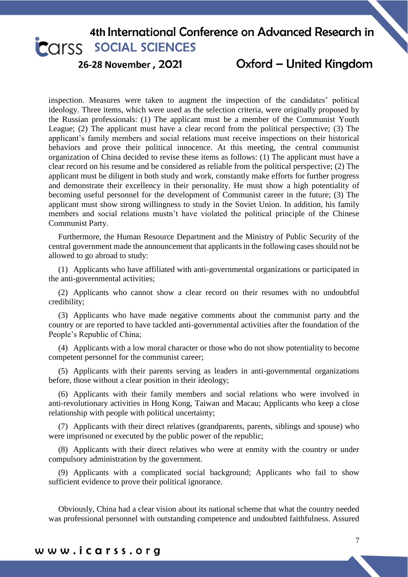26-28 November, 2021

Oxford - United Kingdom

inspection. Measures were taken to augment the inspection of the candidates' political ideology. Three items, which were used as the selection criteria, were originally proposed by the Russian professionals: (1) The applicant must be a member of the Communist Youth League; (2) The applicant must have a clear record from the political perspective; (3) The applicant's family members and social relations must receive inspections on their historical behaviors and prove their political innocence. At this meeting, the central communist organization of China decided to revise these items as follows: (1) The applicant must have a clear record on his resume and be considered as reliable from the political perspective; (2) The applicant must be diligent in both study and work, constantly make efforts for further progress and demonstrate their excellency in their personality. He must show a high potentiality of becoming useful personnel for the development of Communist career in the future; (3) The applicant must show strong willingness to study in the Soviet Union. In addition, his family members and social relations mustn't have violated the political principle of the Chinese Communist Party.

Furthermore, the Human Resource Department and the Ministry of Public Security of the central government made the announcement that applicants in the following cases should not be allowed to go abroad to study:

(1) Applicants who have affiliated with anti-governmental organizations or participated in the anti-governmental activities;

(2) Applicants who cannot show a clear record on their resumes with no undoubtful credibility;

(3) Applicants who have made negative comments about the communist party and the country or are reported to have tackled anti-governmental activities after the foundation of the People's Republic of China;

(4) Applicants with a low moral character or those who do not show potentiality to become competent personnel for the communist career;

(5) Applicants with their parents serving as leaders in anti-governmental organizations before, those without a clear position in their ideology;

(6) Applicants with their family members and social relations who were involved in anti-revolutionary activities in Hong Kong, Taiwan and Macau; Applicants who keep a close relationship with people with political uncertainty;

(7) Applicants with their direct relatives (grandparents, parents, siblings and spouse) who were imprisoned or executed by the public power of the republic;

(8) Applicants with their direct relatives who were at enmity with the country or under compulsory administration by the government.

(9) Applicants with a complicated social background; Applicants who fail to show sufficient evidence to prove their political ignorance.

Obviously, China had a clear vision about its national scheme that what the country needed was professional personnel with outstanding competence and undoubted faithfulness. Assured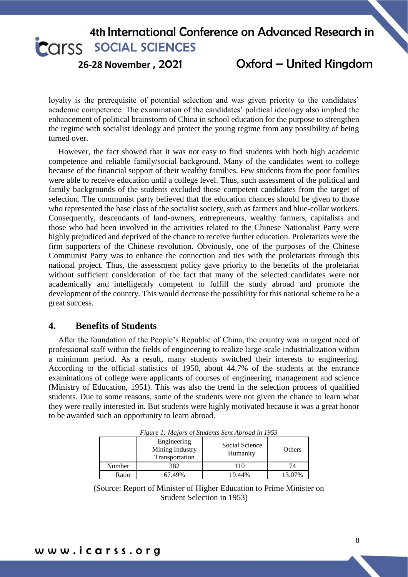26-28 November, 2021

Oxford - United Kingdom

loyalty is the prerequisite of potential selection and was given priority to the candidates' academic competence. The examination of the candidates' political ideology also implied the enhancement of political brainstorm of China in school education for the purpose to strengthen the regime with socialist ideology and protect the young regime from any possibility of being turned over.

However, the fact showed that it was not easy to find students with both high academic competence and reliable family/social background. Many of the candidates went to college because of the financial support of their wealthy families. Few students from the poor families were able to receive education until a college level. Thus, such assessment of the political and family backgrounds of the students excluded those competent candidates from the target of selection. The communist party believed that the education chances should be given to those who represented the base class of the socialist society, such as farmers and blue-collar workers. Consequently, descendants of land-owners, entrepreneurs, wealthy farmers, capitalists and those who had been involved in the activities related to the Chinese Nationalist Party were highly prejudiced and deprived of the chance to receive further education. Proletariats were the firm supporters of the Chinese revolution. Obviously, one of the purposes of the Chinese Communist Party was to enhance the connection and ties with the proletariats through this national project. Thus, the assessment policy gave priority to the benefits of the proletariat without sufficient consideration of the fact that many of the selected candidates were not academically and intelligently competent to fulfill the study abroad and promote the development of the country. This would decrease the possibility for this national scheme to be a great success.

#### **4. Benefits of Students**

After the foundation of the People's Republic of China, the country was in urgent need of professional staff within the fields of engineering to realize large-scale industrialization within a minimum period. As a result, many students switched their interests to engineering. According to the official statistics of 1950, about 44.7% of the students at the entrance examinations of college were applicants of courses of engineering, management and science (Ministry of Education, 1951). This was also the trend in the selection process of qualified students. Due to some reasons, some of the students were not given the chance to learn what they were really interested in. But students were highly motivated because it was a great honor to be awarded such an opportunity to learn abroad.

|        | Tigure 1. majors of statems sem Abroad in 1999<br>Engineering<br>Mining Industry<br>Transportation | Social Science<br>Humanity | Others |
|--------|----------------------------------------------------------------------------------------------------|----------------------------|--------|
| Number | 382                                                                                                | 10                         | 74     |
| Ratio  | 67.49%                                                                                             | 19.44%                     | 13.07% |

*Figure 1: Majors of Students Sent Abroad in 1953*

(Source: Report of Minister of Higher Education to Prime Minister on Student Selection in 1953)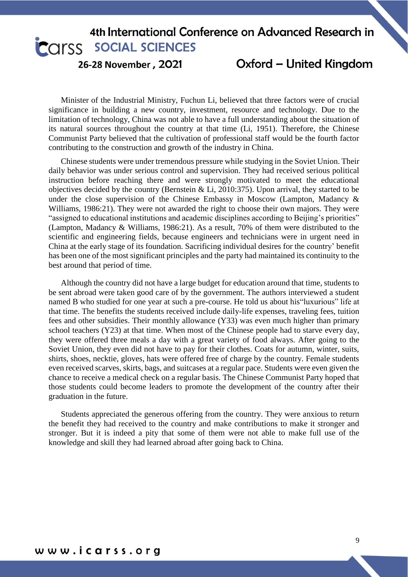26-28 November, 2021

Oxford - United Kingdom

Minister of the Industrial Ministry, Fuchun Li, believed that three factors were of crucial significance in building a new country, investment, resource and technology. Due to the limitation of technology, China was not able to have a full understanding about the situation of its natural sources throughout the country at that time (Li, 1951). Therefore, the Chinese Communist Party believed that the cultivation of professional staff would be the fourth factor contributing to the construction and growth of the industry in China.

Chinese students were under tremendous pressure while studying in the Soviet Union. Their daily behavior was under serious control and supervision. They had received serious political instruction before reaching there and were strongly motivated to meet the educational objectives decided by the country (Bernstein & Li, 2010:375). Upon arrival, they started to be under the close supervision of the Chinese Embassy in Moscow (Lampton, Madancy & Williams, 1986:21). They were not awarded the right to choose their own majors. They were "assigned to educational institutions and academic disciplines according to Beijing's priorities" (Lampton, Madancy & Williams, 1986:21). As a result, 70% of them were distributed to the scientific and engineering fields, because engineers and technicians were in urgent need in China at the early stage of its foundation. Sacrificing individual desires for the country' benefit has been one of the most significant principles and the party had maintained its continuity to the best around that period of time.

Although the country did not have a large budget for education around that time, students to be sent abroad were taken good care of by the government. The authors interviewed a student named B who studied for one year at such a pre-course. He told us about his"luxurious" life at that time. The benefits the students received include daily-life expenses, traveling fees, tuition fees and other subsidies. Their monthly allowance (Y33) was even much higher than primary school teachers (Y23) at that time. When most of the Chinese people had to starve every day, they were offered three meals a day with a great variety of food always. After going to the Soviet Union, they even did not have to pay for their clothes. Coats for autumn, winter, suits, shirts, shoes, necktie, gloves, hats were offered free of charge by the country. Female students even received scarves, skirts, bags, and suitcases at a regular pace. Students were even given the chance to receive a medical check on a regular basis. The Chinese Communist Party hoped that those students could become leaders to promote the development of the country after their graduation in the future.

Students appreciated the generous offering from the country. They were anxious to return the benefit they had received to the country and make contributions to make it stronger and stronger. But it is indeed a pity that some of them were not able to make full use of the knowledge and skill they had learned abroad after going back to China.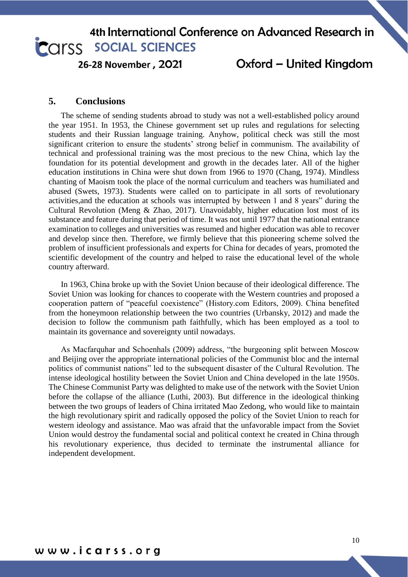26-28 November, 2021

### Oxford - United Kingdom

#### **5. Conclusions**

The scheme of sending students abroad to study was not a well-established policy around the year 1951. In 1953, the Chinese government set up rules and regulations for selecting students and their Russian language training. Anyhow, political check was still the most significant criterion to ensure the students' strong belief in communism. The availability of technical and professional training was the most precious to the new China, which lay the foundation for its potential development and growth in the decades later. All of the higher education institutions in China were shut down from 1966 to 1970 (Chang, 1974). Mindless chanting of Maoism took the place of the normal curriculum and teachers was humiliated and abused (Swets, 1973). Students were called on to participate in all sorts of revolutionary activities,and the education at schools was interrupted by between 1 and 8 years" during the Cultural Revolution (Meng & Zhao, 2017). Unavoidably, higher education lost most of its substance and feature during that period of time. It was not until 1977 that the national entrance examination to colleges and universities was resumed and higher education was able to recover and develop since then. Therefore, we firmly believe that this pioneering scheme solved the problem of insufficient professionals and experts for China for decades of years, promoted the scientific development of the country and helped to raise the educational level of the whole country afterward.

In 1963, China broke up with the Soviet Union because of their ideological difference. The Soviet Union was looking for chances to cooperate with the Western countries and proposed a cooperation pattern of "peaceful coexistence" (History.com Editors, 2009). China benefited from the honeymoon relationship between the two countries (Urbansky, 2012) and made the decision to follow the communism path faithfully, which has been employed as a tool to maintain its governance and sovereignty until nowadays.

As Macfarquhar and Schoenhals (2009) address, "the burgeoning split between Moscow and Beijing over the appropriate international policies of the Communist bloc and the internal politics of communist nations" led to the subsequent disaster of the Cultural Revolution. The intense ideological hostility between the Soviet Union and China developed in the late 1950s. The Chinese Communist Party was delighted to make use of the network with the Soviet Union before the collapse of the alliance (Luthi, 2003). But difference in the ideological thinking between the two groups of leaders of China irritated Mao Zedong, who would like to maintain the high revolutionary spirit and radically opposed the policy of the Soviet Union to reach for western ideology and assistance. Mao was afraid that the unfavorable impact from the Soviet Union would destroy the fundamental social and political context he created in China through his revolutionary experience, thus decided to terminate the instrumental alliance for independent development.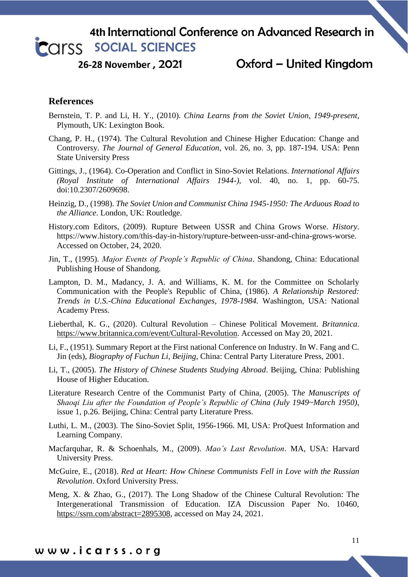26-28 November, 2021

### Oxford - United Kingdom

### **References**

- Bernstein, T. P. and Li, H. Y., (2010). *China Learns from the Soviet Union, 1949-present,* Plymouth, UK: Lexington Book.
- Chang, P. H., (1974). The Cultural Revolution and Chinese Higher Education: Change and Controversy. *The Journal of General Education*, vol. 26, no. 3, pp. 187-194. USA: Penn State University Press
- Gittings, J., (1964). Co-Operation and Conflict in Sino-Soviet Relations. *International Affairs (Royal Institute of International Affairs 1944-)*, vol. 40, no. 1, pp. 60-75. doi:10.2307/2609698.
- Heinzig, D., (1998). *The Soviet Union and Communist China 1945-1950: The Arduous Road to the Alliance*. London, UK: Routledge.
- History.com Editors, (2009). Rupture Between USSR and China Grows Worse. *History*. https://www.history.com/this-day-in-history/rupture-between-ussr-and-china-grows-worse. Accessed on October, 24, 2020.
- Jin, T., (1995). *Major Events of People's Republic of China*. Shandong, China: Educational Publishing House of Shandong.
- Lampton, D. M., Madancy, J. A. and Williams, K. M. for the Committee on Scholarly Communication with the People's Republic of China, (1986). *A Relationship Restored: Trends in U.S.-China Educational Exchanges, 1978-1984.* Washington, USA: National Academy Press.
- Lieberthal, K. G., (2020). Cultural Revolution Chinese Political Movement. *Britannica*. [https://www.britannica.com/event/Cultural-Revolution.](https://www.britannica.com/event/Cultural-Revolution) Accessed on May 20, 2021.
- Li, F., (1951). Summary Report at the First national Conference on Industry. In W. Fang and C. Jin (eds), *Biography of Fuchun Li, Beijing*, China: Central Party Literature Press, 2001.
- Li, T., (2005). *The History of Chinese Students Studying Abroad*. Beijing, China: Publishing House of Higher Education.
- Literature Research Centre of the Communist Party of China, (2005). T*he Manuscripts of Shaoqi Liu after the Foundation of People's Republic of China (July 1949~March 1950)*, issue 1, p.26. Beijing, China: Central party Literature Press.
- Luthi, L. M., (2003). The Sino-Soviet Split, 1956-1966. MI, USA: ProQuest Information and Learning Company.
- Macfarquhar, R. & Schoenhals, M., (2009). *Mao's Last Revolution*. MA, USA: Harvard University Press.
- McGuire, E., (2018). *Red at Heart: How Chinese Communists Fell in Love with the Russian Revolution*. Oxford University Press.
- Meng, X. & Zhao, G., (2017). The Long Shadow of the Chinese Cultural Revolution: The Intergenerational Transmission of Education. IZA Discussion Paper No. 10460, [https://ssrn.com/abstract=2895308,](https://ssrn.com/abstract=2895308) accessed on May 24, 2021.